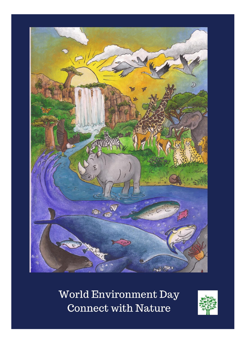

World Environment Day **Connect with Nature** 

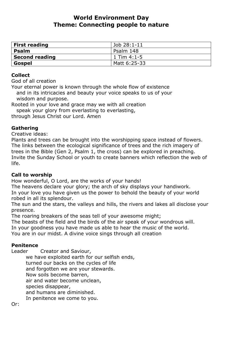# **World Environment Day Theme: Connecting people to nature**

| <b>First reading</b>  | Job 28:1-11    |
|-----------------------|----------------|
| Psalm                 | l Psalm 148    |
| <b>Second reading</b> | $1$ Tim 4:1-5  |
| Gospel                | l Matt 6:25-33 |

## **Collect**

God of all creation

Your eternal power is known through the whole flow of existence and in its intricacies and beauty your voice speaks to us of your wisdom and purpose.

Rooted in your love and grace may we with all creation speak your glory from everlasting to everlasting,

through Jesus Christ our Lord. Amen

# **Gathering**

Creative ideas:

Plants and trees can be brought into the worshipping space instead of flowers. The links between the ecological significance of trees and the rich imagery of trees in the Bible (Gen 2, Psalm 1, the cross) can be explored in preaching. Invite the Sunday School or youth to create banners which reflection the web of life.

# **Call to worship**

How wonderful, O Lord, are the works of your hands!

The heavens declare your glory; the arch of sky displays your handiwork. In your love you have given us the power to behold the beauty of your world robed in all its splendour.

The sun and the stars, the valleys and hills, the rivers and lakes all disclose your presence.

The roaring breakers of the seas tell of your awesome might;

The beasts of the field and the birds of the air speak of your wondrous will.

In your goodness you have made us able to hear the music of the world.

You are in our midst. A divine voice sings through all creation

# **Penitence**

Leader Creator and Saviour,

we have exploited earth for our selfish ends, turned our backs on the cycles of life and forgotten we are your stewards. Now soils become barren, air and water become unclean, species disappear, and humans are diminished. In penitence we come to you.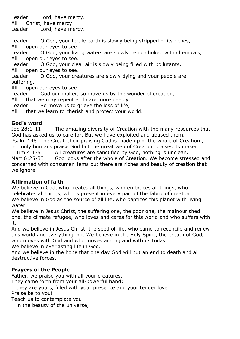Leader Lord, have mercy. All Christ, have mercy. Leader Lord, have mercy.

Leader O God, your fertile earth is slowly being stripped of its riches, All open our eyes to see.

Leader O God, your living waters are slowly being choked with chemicals, All open our eyes to see.

Leader O God, your clear air is slowly being filled with pollutants, All open our eyes to see.

Leader O God, your creatures are slowly dying and your people are suffering,

All open our eyes to see.

Leader God our maker, so move us by the wonder of creation,

All that we may repent and care more deeply.

Leader So move us to grieve the loss of life,

All that we learn to cherish and protect your world.

# **God's word**

Job 28:1-11 The amazing diversity of Creation with the many resources that God has asked us to care for. But we have exploited and abused them. Psalm 148 The Great Choir praising God is made up of the whole of Creation , not only humans praise God but the great web of Creation praises its maker 1 Tim 4:1-5 All creatures are sanctified by God, nothing is unclean. Matt 6:25-33 God looks after the whole of Creation. We become stressed and concerned with consumer items but there are riches and beauty of creation that we ignore.

# **Affirmation of faith**

We believe in God, who creates all things, who embraces all things, who celebrates all things, who is present in every part of the fabric of creation. We believe in God as the source of all life, who baptizes this planet with living water.

We believe in Jesus Christ, the suffering one, the poor one, the malnourished one, the climate refugee, who loves and cares for this world and who suffers with it.

And we believe in Jesus Christ, the seed of life, who came to reconcile and renew this world and everything in it.We believe in the Holy Spirit, the breath of God, who moves with God and who moves among and with us today. We believe in everlasting life in God.

And we believe in the hope that one day God will put an end to death and all destructive forces.

# **Prayers of the People**

Father, we praise you with all your creatures.

They came forth from your all-powerful hand;

they are yours, filled with your presence and your tender love.

Praise be to you!

Teach us to contemplate you

in the beauty of the universe,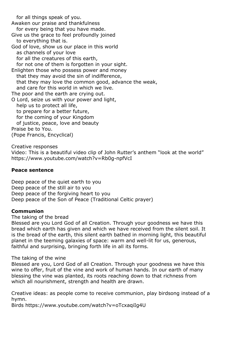for all things speak of you.

Awaken our praise and thankfulness for every being that you have made.

Give us the grace to feel profoundly joined to everything that is.

God of love, show us our place in this world as channels of your love for all the creatures of this earth,

for not one of them is forgotten in your sight.

Enlighten those who possess power and money that they may avoid the sin of indifference, that they may love the common good, advance the weak, and care for this world in which we live. The poor and the earth are crying out.

O Lord, seize us with your power and light, help us to protect all life, to prepare for a better future, for the coming of your Kingdom of justice, peace, love and beauty Praise be to You.

(Pope Francis, Encyclical)

Creative responses

Video: This is a beautiful video clip of John Rutter's anthem "look at the world" https://www.youtube.com/watch?v=Rb0g-npfVcI

#### **Peace sentence**

Deep peace of the quiet earth to you Deep peace of the still air to you Deep peace of the forgiving heart to you Deep peace of the Son of Peace (Traditional Celtic prayer)

#### **Communion**

The taking of the bread

Blessed are you Lord God of all Creation. Through your goodness we have this bread which earth has given and which we have received from the silent soil. It is the bread of the earth, this silent earth bathed in morning light, this beautiful planet in the teeming galaxies of space: warm and well-lit for us, generous, faithful and surprising, bringing forth life in all its forms.

#### The taking of the wine

Blessed are you, Lord God of all Creation. Through your goodness we have this wine to offer, fruit of the vine and work of human hands. In our earth of many blessing the vine was planted, its roots reaching down to that richness from which all nourishment, strength and health are drawn.

Creative ideas: as people come to receive communion, play birdsong instead of a hymn.

Birds https://www.youtube.com/watch?v=oTcxaqiIg4U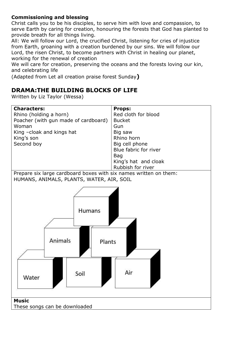# **Commissioning and blessing**

Christ calls you to be his disciples, to serve him with love and compassion, to serve Earth by caring for creation, honouring the forests that God has planted to provide breath for all things living.

All: We will follow our Lord, the crucified Christ, listening for cries of injustice from Earth, groaning with a creation burdened by our sins. We will follow our Lord, the risen Christ, to become partners with Christ in healing our planet, working for the renewal of creation

We will care for creation, preserving the oceans and the forests loving our kin, and celebrating life

(Adapted from Let all creation praise forest Sunday**)**

# **DRAMA:THE BUILDING BLOCKS OF LIFE**

Written by Liz Taylor (Wessa)

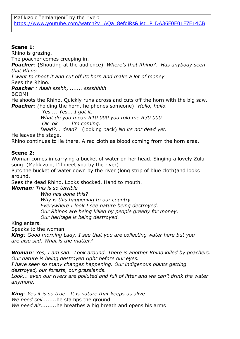# **Scene 1**:

Rhino is grazing.

The poacher comes creeping in.

*Poacher:* **(**Shouting at the audience) *Where's that Rhino?. Has anybody seen that Rhino.*

*I want to shoot it and cut off its horn and make a lot of money.*

Sees the Rhino.

*Poacher : Aaah ssshh, ....... sssshhhh*

BOOM!

He shoots the Rhino. Quickly runs across and cuts off the horn with the big saw. *Poacher: (*holding the horn, he phones someone) "*Hullo, hullo.* 

> *Yes.... Yes... I got it. What do you mean R10 000 you told me R30 000. Ok ok I'm coming. Dead?... dead?* (looking back) *No its not dead yet.*

He leaves the stage.

Rhino continues to lie there. A red cloth as blood coming from the horn area.

# **Scene 2:**

Woman comes in carrying a bucket of water on her head. Singing a lovely Zulu song. (Mafikizolo, I'll meet you by the river)

Puts the bucket of water down by the river (long strip of blue cloth)and looks around.

Sees the dead Rhino. Looks shocked. Hand to mouth.

*Woman: This is so terrible*

*Who has done this? Why is this happening to our country. Everywhere I look I see nature being destroyed. Our Rhinos are being killed by people greedy for money. Our heritage is being destroyed.*

King enters.

Speaks to the woman.

*King: Good morning Lady. I see that you are collecting water here but you are also sad. What is the matter?*

*Woman: Yes, I am sad. Look around. There is another Rhino killed by poachers. Our nature is being destroyed right before our eyes.*

*I have seen so many changes happening. Our indigenous plants getting destroyed, our forests, our grasslands.*

*Look... even our rivers are polluted and full of litter and we can't drink the water anymore.*

*King: Yes it is so true . It is nature that keeps us alive. We need soil........*he stamps the ground *We need air.........*he breathes a big breath and opens his arms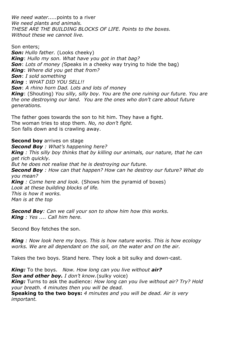*We need water.....*points to a river *We need plants and animals. THESE ARE THE BUILDING BLOCKS OF LIFE. Points to the boxes. Without these we cannot live.*

Son enters; *Son: Hullo father.* (Looks cheeky) *King*: *Hullo my son. What have you got in that bag? Son*: *Lots of money (*Speaks in a cheeky way trying to hide the bag) *King*: *Where did you get that from? Son*: *I sold something King* : *WHAT DID YOU SELL!! Son*: *A rhino horn Dad. Lots and lots of mone*y *King*: (Shouting) *You silly, silly boy. You are the one ruining our future. You are the one destroying our land. You are the ones who don't care about future generations.*

The father goes towards the son to hit him. They have a fight. The woman tries to stop them. *No, no don't fight.* Son falls down and is crawling away.

**Second boy** arrives on stage *Second Boy : What's happening here? King : This silly boy thinks that by killing our animals, our nature, that he can get rich quickly. But he does not realise that he is destroying our future. Second Boy : How can that happen? How can he destroy our future? What do you mean? King : Come here and look.* (Shows him the pyramid of boxes) *Look at these building blocks of life. This is how it works. Man is at the top* 

*Second Boy: Can we call your son to show him how this works. King : Yes .... Call him here.*

Second Boy fetches the son.

*King : Now look here my boys. This is how nature works. This is how ecology works. We are all dependant on the soil, on the water and on the air.*

Takes the two boys. Stand here. They look a bit sulky and down-cast.

*King:* To the boys. *Now. How long can you live without air? Son and other boy. I don't know.*(sulky voice) *King:* Turns to ask the audience: *How long can you live without air? Try? Hold your breath. 4 minutes then you will be dead.* **Speaking to the two boys:** *4 minutes and you will be dead. Air is very important.*